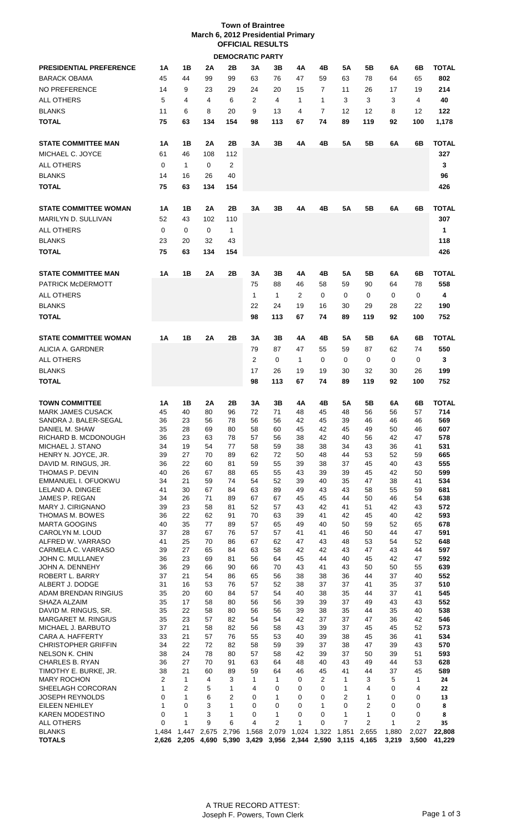| <b>Town of Braintree</b>           |
|------------------------------------|
| March 6, 2012 Presidential Primary |
| <b>OFFICIAL RESULTS</b>            |
| <b>DEMOCRATIC PARTY</b>            |

| <b>PRESIDENTIAL PREFERENCE</b><br><b>BARACK OBAMA</b><br><b>NO PREFERENCE</b><br>ALL OTHERS<br><b>BLANKS</b><br><b>TOTAL</b> | 1Α<br>45<br>14<br>5<br>11<br>75 | 1В<br>44<br>9<br>4<br>6<br>63  | 2Α<br>99<br>23<br>4<br>8<br>134 | 2Β<br>99<br>29<br>6<br>20<br>154       | 3Α<br>63<br>24<br>2<br>9<br>98 | 3B<br>76<br>20<br>4<br>13<br>113                   | 4Α<br>47<br>15<br>1<br>4<br>67 | 4Β<br>59<br>7<br>$\mathbf{1}$<br>7<br>74 | 5Α<br>63<br>11<br>3<br>12<br>89 | 5Β<br>78<br>26<br>3<br>12<br>119         | 6A<br>64<br>17<br>3<br>8<br>92 | 6B<br>65<br>19<br>4<br>12<br>100    | <b>TOTAL</b><br>802<br>214<br>40<br>122<br>1,178 |
|------------------------------------------------------------------------------------------------------------------------------|---------------------------------|--------------------------------|---------------------------------|----------------------------------------|--------------------------------|----------------------------------------------------|--------------------------------|------------------------------------------|---------------------------------|------------------------------------------|--------------------------------|-------------------------------------|--------------------------------------------------|
| <b>STATE COMMITTEE MAN</b><br>MICHAEL C. JOYCE<br><b>ALL OTHERS</b><br><b>BLANKS</b>                                         | 1Α<br>61<br>0<br>14             | 1Β<br>46<br>$\mathbf{1}$<br>16 | 2Α<br>108<br>0<br>26            | 2Β<br>112<br>2<br>40                   | 3A                             | 3B                                                 | 4Α                             | 4Β                                       | 5Α                              | 5Β                                       | 6A                             | 6B                                  | TOTAL<br>327<br>3<br>96                          |
| <b>TOTAL</b>                                                                                                                 | 75                              | 63                             | 134                             | 154                                    |                                |                                                    |                                |                                          |                                 |                                          |                                |                                     | 426                                              |
| <b>STATE COMMITTEE WOMAN</b><br>MARILYN D. SULLIVAN<br><b>ALL OTHERS</b><br><b>BLANKS</b><br><b>TOTAL</b>                    | 1Α<br>52<br>0<br>23<br>75       | 1В<br>43<br>0<br>20<br>63      | 2A<br>102<br>0<br>32<br>134     | 2Β<br>110<br>$\mathbf{1}$<br>43<br>154 | 3A                             | 3Β                                                 | 4A                             | 4Β                                       | 5Α                              | 5Β                                       | 6A                             | 6В                                  | TOTAL<br>307<br>1<br>118<br>426                  |
| <b>STATE COMMITTEE MAN</b><br><b>PATRICK McDERMOTT</b><br><b>ALL OTHERS</b><br><b>BLANKS</b><br><b>TOTAL</b>                 | 1Α                              | 1В                             | 2Α                              | 2Β                                     | 3A<br>75<br>1<br>22<br>98      | 3Β<br>88<br>1<br>24<br>113                         | 4A<br>46<br>2<br>19<br>67      | 4Β<br>58<br>0<br>16<br>74                | 5Α<br>59<br>0<br>30<br>89       | 5Β<br>90<br>0<br>29<br>119               | 6A<br>64<br>0<br>28<br>92      | 6В<br>78<br>0<br>22<br>100          | <b>TOTAL</b><br>558<br>4<br>190<br>752           |
| <b>STATE COMMITTEE WOMAN</b>                                                                                                 | 1Α                              | 1B                             | 2A                              | 2Β                                     | 3Α                             | 3В                                                 | 4Α                             | 4Β                                       | 5Α                              | 5Β                                       | 6A                             | 6B                                  | TOTAL                                            |
| ALICIA A. GARDNER<br><b>ALL OTHERS</b><br><b>BLANKS</b>                                                                      |                                 |                                |                                 |                                        | 79<br>2<br>17                  | 87<br>0<br>26                                      | 47<br>1<br>19                  | 55<br>0<br>19                            | 59<br>0<br>30                   | 87<br>0<br>32                            | 62<br>0<br>30                  | 74<br>0<br>26                       | 550<br>3<br>199                                  |
| <b>TOTAL</b>                                                                                                                 |                                 |                                |                                 |                                        | 98                             | 113                                                | 67                             | 74                                       | 89                              | 119                                      | 92                             | 100                                 | 752                                              |
| <b>TOWN COMMITTEE</b><br><b>MARK JAMES CUSACK</b><br>SANDRA J. BALER-SEGAL<br>DANIEL M. SHAW                                 | 1Α<br>45<br>36<br>35            | 1В<br>40<br>23<br>28           | 2A<br>80<br>56<br>69            | 2Β<br>96<br>78<br>80                   | 3A<br>72<br>56<br>58           | 3В<br>71<br>56<br>60                               | 4Α<br>48<br>42<br>45           | 4Β<br>45<br>45<br>42                     | 5Α<br>48<br>39<br>45            | 5Β<br>56<br>46<br>49                     | 6A<br>56<br>46<br>50           | 6В<br>57<br>46<br>46                | <b>TOTAL</b><br>714<br>569<br>607                |
| RICHARD B. MCDONOUGH<br>MICHAEL J. STANO<br>HENRY N. JOYCE, JR.<br>DAVID M. RINGUS, JR.                                      | 36<br>34<br>39<br>36            | 23<br>19<br>27<br>22           | 63<br>54<br>70<br>60            | 78<br>77<br>89<br>81                   | 57<br>58<br>62<br>59           | 56<br>59<br>72<br>55                               | 38<br>38<br>50<br>39           | 42<br>38<br>48<br>38                     | 40<br>34<br>44<br>37            | 56<br>43<br>53<br>45                     | 42<br>36<br>52<br>40           | 47<br>41<br>59<br>43                | 578<br>531<br>665<br>555                         |
| THOMAS P. DEVIN<br>EMMANUEL I. OFUOKWU<br>LELAND A. DINGEE<br>JAMES P. REGAN<br>MARY J. CIRIGNANO                            | 40<br>34<br>41<br>34<br>39      | 26<br>21<br>30<br>26<br>23     | 67<br>59<br>67<br>71<br>58      | 88<br>74<br>84<br>89<br>81             | 65<br>54<br>63<br>67<br>52     | 55<br>52<br>89<br>67<br>57                         | 43<br>39<br>49<br>45<br>43     | 39<br>40<br>43<br>45<br>42               | 39<br>35<br>43<br>44<br>41      | 45<br>47<br>58<br>50<br>51               | 42<br>38<br>55<br>46<br>42     | 50<br>41<br>59<br>54<br>43          | 599<br>534<br>681<br>638<br>572                  |
| THOMAS M. BOWES<br><b>MARTA GOOGINS</b><br>CAROLYN M. LOUD<br>ALFRED W. VARRASO                                              | 36<br>40<br>37<br>41            | 22<br>35<br>28<br>25           | 62<br>77<br>67<br>70            | 91<br>89<br>76<br>86                   | 70<br>57<br>57<br>67           | 63<br>65<br>57<br>62                               | 39<br>49<br>41<br>47           | 41<br>40<br>41<br>43                     | 42<br>50<br>46<br>48            | 45<br>59<br>50<br>53                     | 40<br>52<br>44<br>54           | 42<br>65<br>47<br>52                | 593<br>678<br>591<br>648                         |
| CARMELA C. VARRASO<br>JOHN C. MULLANEY<br>JOHN A. DENNEHY<br>ROBERT L. BARRY                                                 | 39<br>36<br>36<br>37            | 27<br>23<br>29<br>21           | 65<br>69<br>66<br>54            | 84<br>81<br>90<br>86                   | 63<br>56<br>66<br>65           | 58<br>64<br>70<br>56                               | 42<br>45<br>43<br>38           | 42<br>44<br>41<br>38                     | 43<br>40<br>43<br>36            | 47<br>45<br>50<br>44                     | 43<br>42<br>50<br>37           | 44<br>47<br>55<br>40                | 597<br>592<br>639<br>552                         |
| ALBERT J. DODGE<br>ADAM BRENDAN RINGIUS<br>SHAZA ALZAIM<br>DAVID M. RINGUS, SR.                                              | 31<br>35<br>35<br>35            | 16<br>20<br>17<br>22           | 53<br>60<br>58<br>58            | 76<br>84<br>80<br>80                   | 57<br>57<br>56<br>56           | 52<br>54<br>56<br>56                               | 38<br>40<br>39<br>39           | 37<br>38<br>39<br>38                     | 37<br>35<br>37<br>35            | 41<br>44<br>49<br>44                     | 35<br>37<br>43<br>35           | 37<br>41<br>43<br>40                | 510<br>545<br>552<br>538                         |
| <b>MARGARET M. RINGIUS</b><br>MICHAEL J. BARBUTO<br>CARA A. HAFFERTY<br><b>CHRISTOPHER GRIFFIN</b>                           | 35<br>37<br>33<br>34            | 23<br>21<br>21<br>22<br>24     | 57<br>58<br>57<br>72<br>78      | 82<br>82<br>76<br>82                   | 54<br>56<br>55<br>58           | 54<br>58<br>53<br>59                               | 42<br>43<br>40<br>39           | 37<br>39<br>39<br>37                     | 37<br>37<br>38<br>38            | 47<br>45<br>45<br>47                     | 36<br>45<br>36<br>39           | 42<br>52<br>41<br>43                | 546<br>573<br>534<br>570                         |
| <b>NELSON K. CHIN</b><br><b>CHARLES B. RYAN</b><br>TIMOTHY E. BURKE, JR.<br><b>MARY ROCHON</b><br>SHEELAGH CORCORAN          | 38<br>36<br>38<br>2<br>1        | 27<br>21<br>$\mathbf{1}$<br>2  | 70<br>60<br>4<br>5              | 80<br>91<br>89<br>3<br>1               | 57<br>63<br>59<br>1<br>4       | 58<br>64<br>64<br>1<br>0                           | 42<br>48<br>46<br>0<br>0       | 39<br>40<br>45<br>2<br>0                 | 37<br>43<br>41<br>1<br>1        | 50<br>49<br>44<br>3<br>4                 | 39<br>44<br>37<br>5<br>0       | 51<br>53<br>45<br>$\mathbf{1}$<br>4 | 593<br>628<br>589<br>24<br>22                    |
| <b>JOSEPH REYNOLDS</b><br><b>EILEEN NEHILEY</b><br><b>KAREN MODESTINO</b><br><b>ALL OTHERS</b>                               | 0<br>1<br>0<br>0                | 1<br>0<br>1<br>$\mathbf{1}$    | 6<br>3<br>3<br>9                | 2<br>1<br>1<br>6                       | 0<br>0<br>0<br>4               | 1<br>$\mathbf 0$<br>$\mathbf{1}$<br>$\overline{2}$ | 0<br>0<br>0<br>1               | 0<br>1<br>0<br>0                         | 2<br>0<br>1<br>7                | 1<br>$\overline{2}$<br>$\mathbf{1}$<br>2 | 0<br>0<br>0<br>$\mathbf{1}$    | 0<br>0<br>0<br>2                    | 13<br>8<br>8<br>35                               |
| <b>BLANKS</b><br><b>TOTALS</b>                                                                                               | 1,484<br>2.626                  | 1,447<br>2,205                 | 2,675<br>4.690                  | 2,796<br>5,390                         | 1,568<br>3,429                 | 2,079                                              | 1,024<br>3,956 2,344           | 1,322<br>2,590                           | 1,851<br>3,115 4,165            | 2,655                                    | 1,880<br>3,219                 | 2,027<br>3,500                      | 22,808<br>41,229                                 |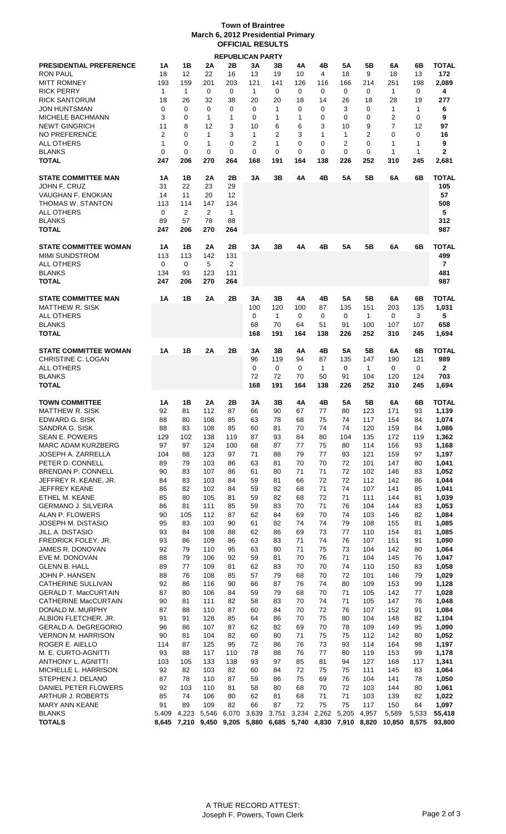## **Town of Braintree March 6, 2012 Presidential Primary OFFICIAL RESULTS REPUBLICAN PARTY**

|                                |                |                |                | <b>REPUBLICAN PARTY</b> |                |                |       |              |             |                |                |             |                |
|--------------------------------|----------------|----------------|----------------|-------------------------|----------------|----------------|-------|--------------|-------------|----------------|----------------|-------------|----------------|
| <b>PRESIDENTIAL PREFERENCE</b> | 1Α             | 1В             | 2Α             | 2Β                      | 3Α             | 3В             | 4Α    | 4Β           | 5Α          | 5Β             | 6A             | 6B          | TOTAL          |
| <b>RON PAUL</b>                | 18             | 12             | 22             | 16                      | 13             | 19             | 10    | 4            | 18          | 9              | 18             | 13          | 172            |
| <b>MITT ROMNEY</b>             | 193            | 159            | 201            | 203                     | 121            | 141            | 126   | 116          | 166         | 214            | 251            | 198         | 2,089          |
| <b>RICK PERRY</b>              | 1              | $\mathbf{1}$   | 0              | 0                       | $\mathbf{1}$   | 0              | 0     | 0            | 0           | 0              | 1              | 0           | 4              |
|                                |                |                |                |                         |                |                |       |              |             |                |                |             |                |
| <b>RICK SANTORUM</b>           | 18             | 26             | 32             | 38                      | 20             | 20             | 18    | 14           | 26          | 18             | 28             | 19          | 277            |
| JON HUNTSMAN                   | 0              | 0              | 0              | 0                       | 0              | $\mathbf{1}$   | 0     | 0            | 3           | $\Omega$       | 1              | 1           | 6              |
| <b>MICHELE BACHMANN</b>        | 3              | 0              | 1              | 1                       | 0              | 1              | 1     | 0            | 0           | 0              | 2              | $\mathbf 0$ | 9              |
| <b>NEWT GINGRICH</b>           | 11             | 8              | 12             | 3                       | 10             | 6              | 6     | 3            | 10          | 9              | $\overline{7}$ | 12          | 97             |
| NO PREFERENCE                  | $\overline{2}$ | 0              | 1              | 3                       | $\mathbf{1}$   | $\overline{2}$ | 3     | 1            | 1           | $\overline{2}$ | $\Omega$       | $\Omega$    | 16             |
| <b>ALL OTHERS</b>              | 1              | 0              | 1              | 0                       | $\overline{2}$ | 1              | 0     | 0            | 2           | $\Omega$       | 1              | 1           | 9              |
| <b>BLANKS</b>                  | 0              | 0              | $\mathbf 0$    | 0                       | 0              | $\Omega$       | 0     | $\Omega$     | $\Omega$    | $\Omega$       | 1              | 1           | 2              |
|                                |                |                |                |                         |                |                |       |              |             |                |                |             |                |
| <b>TOTAL</b>                   | 247            | 206            | 270            | 264                     | 168            | 191            | 164   | 138          | 226         | 252            | 310            | 245         | 2,681          |
|                                |                |                |                |                         |                |                |       |              |             |                |                |             |                |
| <b>STATE COMMITTEE MAN</b>     | 1Α             | 1В             | 2Α             | 2Β                      | 3A             | 3Β             | 4A    | 4B           | 5Α          | 5Β             | 6A             | 6B          | TOTAL          |
| <b>JOHN F. CRUZ</b>            | 31             | 22             | 23             | 29                      |                |                |       |              |             |                |                |             | 105            |
| VAUGHAN F. ENOKIAN             | 14             | 11             | 20             | 12                      |                |                |       |              |             |                |                |             | 57             |
| THOMAS W. STANTON              | 113            | 114            | 147            | 134                     |                |                |       |              |             |                |                |             | 508            |
| <b>ALL OTHERS</b>              | 0              | $\overline{2}$ | $\overline{2}$ | $\mathbf{1}$            |                |                |       |              |             |                |                |             | 5              |
| <b>BLANKS</b>                  | 89             | 57             |                |                         |                |                |       |              |             |                |                |             | 312            |
|                                |                |                | 78             | 88                      |                |                |       |              |             |                |                |             |                |
| <b>TOTAL</b>                   | 247            | 206            | 270            | 264                     |                |                |       |              |             |                |                |             | 987            |
|                                |                |                |                |                         |                |                |       |              |             |                |                |             |                |
| <b>STATE COMMITTEE WOMAN</b>   | 1Α             | 1В             | 2Α             | 2Β                      | 3A             | 3B             | 4A    | 4B           | 5A          | 5Β             | 6A             | 6B          | TOTAL          |
| <b>MIMI SUNDSTROM</b>          | 113            | 113            | 142            | 131                     |                |                |       |              |             |                |                |             | 499            |
| ALL OTHERS                     | $\mathbf 0$    | 0              | 5              | $\overline{2}$          |                |                |       |              |             |                |                |             | $\overline{7}$ |
| <b>BLANKS</b>                  | 134            | 93             | 123            | 131                     |                |                |       |              |             |                |                |             | 481            |
| <b>TOTAL</b>                   | 247            | 206            | 270            | 264                     |                |                |       |              |             |                |                |             | 987            |
|                                |                |                |                |                         |                |                |       |              |             |                |                |             |                |
|                                |                |                |                |                         |                |                |       |              |             |                |                |             |                |
| <b>STATE COMMITTEE MAN</b>     | 1Α             | 1B             | 2A             | 2B                      | 3A             | 3B             | 4A    | 4B           | 5Α          | 5B             | 6A             | 6B          | <b>TOTAL</b>   |
| <b>MATTHEW R. SISK</b>         |                |                |                |                         | 100            | 120            | 100   | 87           | 135         | 151            | 203            | 135         | 1,031          |
| <b>ALL OTHERS</b>              |                |                |                |                         | 0              | $\mathbf{1}$   | 0     | 0            | 0           | $\mathbf{1}$   | 0              | 3           | 5              |
| <b>BLANKS</b>                  |                |                |                |                         | 68             | 70             | 64    | 51           | 91          | 100            | 107            | 107         | 658            |
| <b>TOTAL</b>                   |                |                |                |                         | 168            | 191            | 164   | 138          | 226         | 252            | 310            | 245         | 1,694          |
|                                |                |                |                |                         |                |                |       |              |             |                |                |             |                |
| <b>STATE COMMITTEE WOMAN</b>   | 1Α             | 1B             | 2A             | 2B                      | 3Α             | 3Β             | 4A    | 4B           | 5Α          | 5Β             | 6A             | 6B          | <b>TOTAL</b>   |
|                                |                |                |                |                         |                |                |       |              |             |                |                |             |                |
| CHRISTINE C. LOGAN             |                |                |                |                         | 96             | 119            | 94    | 87           | 135         | 147            | 190            | 121         | 989            |
| ALL OTHERS                     |                |                |                |                         | 0              | $\Omega$       | 0     | $\mathbf{1}$ | $\Omega$    | $\mathbf{1}$   | $\Omega$       | 0           | $\mathbf{2}$   |
| <b>BLANKS</b>                  |                |                |                |                         | 72             | 72             | 70    | 50           | 91          | 104            | 120            | 124         | 703            |
| <b>TOTAL</b>                   |                |                |                |                         | 168            | 191            | 164   | 138          | 226         | 252            | 310            | 245         | 1,694          |
|                                |                |                |                |                         |                |                |       |              |             |                |                |             |                |
| <b>TOWN COMMITTEE</b>          | 1Α             | 1В             | 2Α             | 2Β                      | 3Α             | 3В             | 4Α    | 4Β           | <b>5A</b>   | 5Β             | 6A             | 6B          | TOTAL          |
| <b>MATTHEW R. SISK</b>         | 92             | 81             | 112            | 87                      | 66             | 90             | 67    | 77           | 80          | 123            | 171            | 93          | 1,139          |
| EDWARD G. SISK                 | 88             | 80             | 108            | 85                      | 63             | 78             | 68    | 75           | 74          | 117            | 154            | 84          | 1,074          |
|                                |                |                |                |                         |                |                | 70    | 74           | 74          |                |                |             |                |
| SANDRA G. SISK                 | 88             | 83             | 108            | 85                      | 60             | 81             |       |              |             | 120            | 159            | 84          | 1,086          |
| <b>SEAN E. POWERS</b>          | 129            | 102            | 138            | 119                     | 87             | 93             | 84    | 80           | 104         | 135            | 172            | 119         | 1,362          |
| <b>MARC ADAM KURZBERG</b>      | 97             | 97             | 124            | 100                     | 68             | 87             | 77    | 75           | 80          | 114            | 156            | 93          | 1,168          |
| <b>JOSEPH A. ZARRELLA</b>      | 104            | 88             | 123            | 97                      | 71             | 88             | 79    | 77           | 93          | 121            | 159            | 97          | 1,197          |
| PETER D. CONNELL               | 89             | 79             | 103            | 86                      | 63             | 81             | 70    | 70           | 72          | 101            | 147            | 80          | 1,041          |
| BRENDAN P. CONNELL             | 90             | 83             | 107            | 86                      | 61             | 80             | 71    | 71           | 72          | 102            | 146            | 83          | 1,052          |
| JEFFREY R. KEANE, JR.          | 84             | 83             | 103            | 84                      | 59             | 81             | 66    | 72           | 72          | 112            | 142            | 86          | 1,044          |
|                                |                |                |                |                         |                |                |       |              |             |                |                |             |                |
| <b>JEFFREY KEANE</b>           | 86             | 82             | 102            | 84                      | 59             | 82             | 68    | 71           | 74          | 107            | 141            | 85          | 1,041          |
| ETHEL M. KEANE                 | 85             | 80             | 105            | 81                      | 59             | 82             | 68    | 72           | 71          | 111            | 144            | 81          | 1,039          |
| <b>GERMANO J. SILVEIRA</b>     | 86             | 81             | 111            | 85                      | 59             | 83             | 70    | 71           | 76          | 104            | 144            | 83          | 1,053          |
| ALAN P. FLOWERS                | 90             | 105            | 112            | 87                      | 62             | 84             | 69    | 70           | 74          | 103            | 146            | 82          | 1,084          |
| JOSEPH M. DISTASIO             | 95             | 83             | 103            | 90                      | 61             | 82             | 74    | 74           | 79          | 108            | 155            | 81          | 1,085          |
| JILL A. DISTASIO               | 93             | 84             | 108            | 88                      | 62             | 86             | 69    | 73           | 77          | 110            | 154            | 81          | 1,085          |
| FREDRICK FOLEY. JR.            | 93             | 86             | 109            | 86                      | 63             | 83             | 71    | 74           | 76          | 107            | 151            | 91          | 1,090          |
| JAMES R. DONOVAN               | 92             | 79             | 110            | 95                      | 63             | 80             | 71    | 75           | 73          | 104            | 142            | 80          | 1,064          |
| EVE M. DONOVAN                 | 88             | 79             | 106            | 92                      | 59             | 81             | 70    | 76           | 71          | 104            | 145            | 76          | 1,047          |
|                                |                |                |                |                         |                |                |       |              |             |                |                |             |                |
| <b>GLENN B. HALL</b>           | 89             | 77             | 109            | 81                      | 62             | 83             | 70    | 70           | 74          | 110            | 150            | 83          | 1,058          |
| JOHN P. HANSEN                 | 88             | 76             | 108            | 85                      | 57             | 79             | 68    | 70           | 72          | 101            | 146            | 79          | 1,029          |
| CATHERINE SULLIVAN             | 92             | 86             | 116            | 90                      | 66             | 87             | 76    | 74           | 80          | 109            | 153            | 99          | 1,128          |
| <b>GERALD T. MacCURTAIN</b>    | 87             | 80             | 106            | 84                      | 59             | 79             | 68    | 70           | 71          | 105            | 142            | 77          | 1,028          |
| CATHERINE MacCURTAIN           | 90             | 81             | 111            | 82                      | 58             | 83             | 70    | 74           | 71          | 105            | 147            | 76          | 1,048          |
| DONALD M. MURPHY               | 87             | 88             | 110            | 87                      | 60             | 84             | 70    | 72           | 76          | 107            | 152            | 91          | 1,084          |
|                                |                |                |                |                         |                |                | 70    | 75           | 80          | 104            |                |             |                |
| ALBION FLETCHER, JR.           | 91             | 91             | 128            | 85                      | 64             | 86             |       |              |             |                | 148            | 82          | 1,104          |
| <b>GERALD A. DeGREGORIO</b>    | 96             | 86             | 107            | 87                      | 62             | 82             | 69    | 70           | 78          | 109            | 149            | 95          | 1,090          |
| <b>VERNON M. HARRISON</b>      | 90             | 81             | 104            | 82                      | 60             | 80             | 71    | 75           | 75          | 112            | 142            | 80          | 1,052          |
| ROGER E. AIELLO                | 114            | 87             | 125            | 95                      | 72             | 86             | 76    | 73           | 93          | 114            | 164            | 98          | 1,197          |
| M. E. CURTO-AGNITTI            | 93             | 88             | 117            | 110                     | 78             | 88             | 76    | 77           | 80          | 119            | 153            | 99          | 1,178          |
| ANTHONY L. AGNITTI             | 103            | 105            | 133            | 138                     | 93             | 97             | 85    | 81           | 94          | 127            | 168            | 117         | 1,341          |
| MICHELLE L. HARRISON           |                | 82             | 103            | 82                      | 60             | 84             | 72    | 75           | 75          | 111            | 145            | 83          | 1,064          |
|                                |                |                |                |                         |                |                |       |              |             |                |                |             |                |
|                                | 92             |                |                |                         |                |                |       |              |             |                |                |             |                |
| STEPHEN J. DELANO              | 87             | 78             | 110            | 87                      | 59             | 86             | 75    | 69           | 76          | 104            | 141            | 78          | 1,050          |
| DANIEL PETER FLOWERS           | 92             | 103            | 110            | 81                      | 58             | 80             | 68    | 70           | 72          | 103            | 144            | 80          | 1,061          |
| ARTHUR J. ROBERTS              | 85             | 74             | 106            | 80                      | 62             | 81             | 68    | 71           | 71          | 103            | 139            | 82          | 1,022          |
| <b>MARY ANN KEANE</b>          | 91             | 89             | 109            | 82                      | 66             | 87             | 72    | 75           | 75          | 117            | 150            | 84          | 1,097          |
| <b>BLANKS</b>                  | 5.409          | 4,223          | 5,546          | 6,070                   | 3,639          | 3,751          | 3,234 |              | 2,262 5,205 | 4,957          | 5,589          | 5,533       | 55,418         |